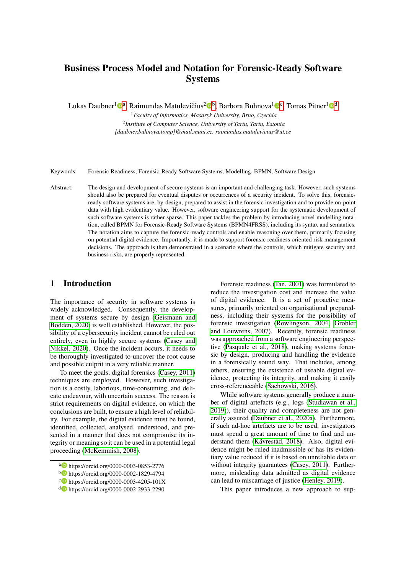# Business Process Model and Notation for Forensic-Ready Software Systems

Lukas Daubner<sup>1</sup>®ª, Raimundas Matulevičius<sup>2</sup>®<sup>b</sup>, Barbora Buhnova<sup>1</sup>®<sup>c</sup>, Tomas Pitner<sup>1</sup>®<sup>d</sup>

<sup>1</sup>*Faculty of Informatics, Masaryk University, Brno, Czechia* 2 *Institute of Computer Science, University of Tartu, Tartu, Estonia {daubner,buhnova,tomp}@mail.muni.cz, raimundas.matulevicius@ut.ee*

Keywords: Forensic Readiness, Forensic-Ready Software Systems, Modelling, BPMN, Software Design

Abstract: The design and development of secure systems is an important and challenging task. However, such systems should also be prepared for eventual disputes or occurrences of a security incident. To solve this, forensicready software systems are, by-design, prepared to assist in the forensic investigation and to provide on-point data with high evidentiary value. However, software engineering support for the systematic development of such software systems is rather sparse. This paper tackles the problem by introducing novel modelling notation, called BPMN for Forensic-Ready Software Systems (BPMN4FRSS), including its syntax and semantics. The notation aims to capture the forensic-ready controls and enable reasoning over them, primarily focusing on potential digital evidence. Importantly, it is made to support forensic readiness oriented risk management decisions. The approach is then demonstrated in a scenario where the controls, which mitigate security and business risks, are properly represented.

## 1 Introduction

The importance of security in software systems is widely acknowledged. Consequently, the development of systems secure by design [\(Geismann and](#page-11-0) [Bodden, 2020\)](#page-11-0) is well established. However, the possibility of a cybersecurity incident cannot be ruled out entirely, even in highly secure systems [\(Casey and](#page-10-0) [Nikkel, 2020\)](#page-10-0). Once the incident occurs, it needs to be thoroughly investigated to uncover the root cause and possible culprit in a very reliable manner.

To meet the goals, digital forensics [\(Casey, 2011\)](#page-10-1) techniques are employed. However, such investigation is a costly, laborious, time-consuming, and delicate endeavour, with uncertain success. The reason is strict requirements on digital evidence, on which the conclusions are built, to ensure a high level of reliability. For example, the digital evidence must be found, identified, collected, analysed, understood, and presented in a manner that does not compromise its integrity or meaning so it can be used in a potential legal proceeding [\(McKemmish, 2008\)](#page-11-1).

Forensic readiness [\(Tan, 2001\)](#page-11-2) was formulated to reduce the investigation cost and increase the value of digital evidence. It is a set of proactive measures, primarily oriented on organisational preparedness, including their systems for the possibility of forensic investigation [\(Rowlingson, 2004;](#page-11-3) [Grobler](#page-11-4) [and Louwrens, 2007\)](#page-11-4). Recently, forensic readiness was approached from a software engineering perspective [\(Pasquale et al., 2018\)](#page-11-5), making systems forensic by design, producing and handling the evidence in a forensically sound way. That includes, among others, ensuring the existence of useable digital evidence, protecting its integrity, and making it easily cross-referenceable [\(Sachowski, 2016\)](#page-11-6).

While software systems generally produce a number of digital artefacts (e.g., logs [\(Studiawan et al.,](#page-11-7) [2019\)](#page-11-7)), their quality and completeness are not generally assured [\(Daubner et al., 2020a\)](#page-10-2). Furthermore, if such ad-hoc artefacts are to be used, investigators must spend a great amount of time to find and understand them [\(Kävrestad, 2018\)](#page-11-8). Also, digital evidence might be ruled inadmissible or has its evidentiary value reduced if it is based on unreliable data or without integrity guarantees [\(Casey, 2011\)](#page-10-1). Furthermore, misleading data admitted as digital evidence can lead to miscarriage of justice [\(Henley, 2019\)](#page-11-9).

This paper introduces a new approach to sup-

<sup>a</sup> https://orcid.org/0000-0003-0853-2776

<sup>b</sup> https://orcid.org/0000-0002-1829-4794

c https://orcid.org/0000-0003-4205-101X

<sup>d</sup> https://orcid.org/0000-0002-2933-2290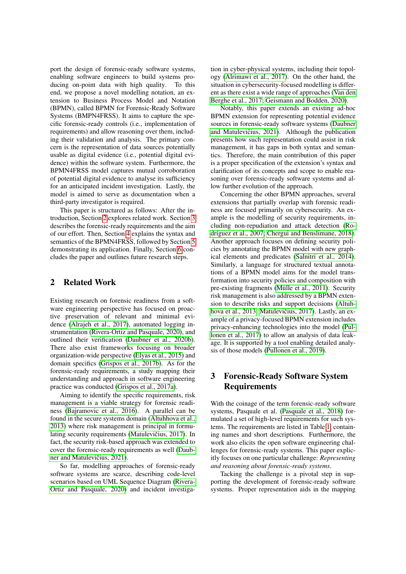port the design of forensic-ready software systems, enabling software engineers to build systems producing on-point data with high quality. To this end, we propose a novel modelling notation, an extension to Business Process Model and Notation (BPMN), called BPMN for Forensic-Ready Software Systems (BMPN4FRSS). It aims to capture the specific forensic-ready controls (i.e., implementation of requirements) and allow reasoning over them, including their validation and analysis. The primary concern is the representation of data sources potentially usable as digital evidence (i.e., potential digital evidence) within the software system. Furthermore, the BPMN4FRSS model captures mutual corroboration of potential digital evidence to analyse its sufficiency for an anticipated incident investigation. Lastly, the model is aimed to serve as documentation when a third-party investigator is required.

This paper is structured as follows: After the introduction, Section [2](#page-1-0) explores related work. Section [3](#page-1-1) describes the forensic-ready requirements and the aim of our effort. Then, Section [4](#page-2-0) explains the syntax and semantics of the BPMN4FRSS, followed by Section [5](#page-7-0) demonstrating its application. Finally, Section [6](#page-8-0) concludes the paper and outlines future research steps.

## <span id="page-1-0"></span>2 Related Work

Existing research on forensic readiness from a software engineering perspective has focused on proactive preservation of relevant and minimal evidence [\(Alrajeh et al., 2017\)](#page-10-3), automated logging instrumentation [\(Rivera-Ortiz and Pasquale, 2020\)](#page-11-10), and outlined their verification [\(Daubner et al., 2020b\)](#page-10-4). There also exist frameworks focusing on broader organization-wide perspective [\(Elyas et al., 2015\)](#page-11-11) and domain specifics [\(Grispos et al., 2017b\)](#page-11-12). As for the forensic-ready requirements, a study mapping their understanding and approach in software engineering practice was conducted [\(Grispos et al., 2017a\)](#page-11-13).

Aiming to identify the specific requirements, risk management is a viable strategy for forensic readiness [\(Bajramovic et al., 2016\)](#page-10-5). A parallel can be found in the secure systems domain [\(Altuhhova et al.,](#page-10-6) [2013\)](#page-10-6) where risk management is principal in formulating security requirements (Matulevičius, 2017). In fact, the security risk-based approach was extended to cover the forensic-ready requirements as well [\(Daub](#page-10-7)ner and Matulevičius, 2021).

So far, modelling approaches of forensic-ready software systems are scarce, describing code-level scenarios based on UML Sequence Diagram [\(Rivera-](#page-11-10)[Ortiz and Pasquale, 2020\)](#page-11-10) and incident investiga-

tion in cyber-physical systems, including their topology [\(Alrimawi et al., 2017\)](#page-10-8). On the other hand, the situation in cybersecurity-focused modelling is different as there exist a wide range of approaches [\(Van den](#page-11-15) [Berghe et al., 2017;](#page-11-15) [Geismann and Bodden, 2020\)](#page-11-0).

Notably, this paper extends an existing ad-hoc BPMN extension for representing potential evidence sources in forensic-ready software systems [\(Daubner](#page-10-7) and Matulevičius,  $2021$ ). Although the publication presents how such representation could assist in risk management, it has gaps in both syntax and semantics. Therefore, the main contribution of this paper is a proper specification of the extension's syntax and clarification of its concepts and scope to enable reasoning over forensic-ready software systems and allow further evolution of the approach.

Concerning the other BPMN approaches, several extensions that partially overlap with forensic readiness are focused primarily on cybersecurity. An example is the modelling of security requirements, including non-repudiation and attack detection [\(Ro](#page-11-16)[dríguez et al., 2007;](#page-11-16) [Chergui and Benslimane, 2018\)](#page-10-9). Another approach focuses on defining security policies by annotating the BPMN model with new graphical elements and predicates [\(Salnitri et al., 2014\)](#page-11-17). Similarly, a language for structured textual annotations of a BPMN model aims for the model transformation into security policies and composition with pre-existing fragments [\(Mülle et al., 2011\)](#page-11-18). Security risk management is also addressed by a BPMN extension to describe risks and support decisions [\(Altuh](#page-10-6)[hova et al., 2013;](#page-10-6) Matulevičius, 2017). Lastly, an example of a privacy-focused BPMN extension includes privacy-enhancing technologies into the model [\(Pul](#page-11-19)[lonen et al., 2017\)](#page-11-19) to allow an analysis of data leakage. It is supported by a tool enabling detailed analysis of those models [\(Pullonen et al., 2019\)](#page-11-20).

## <span id="page-1-1"></span>3 Forensic-Ready Software System Requirements

With the coinage of the term forensic-ready software systems, Pasquale et al. [\(Pasquale et al., 2018\)](#page-11-5) formulated a set of high-level requirements for such systems. The requirements are listed in Table [1,](#page-2-1) containing names and short descriptions. Furthermore, the work also elicits the open software engineering challenges for forensic-ready systems. This paper explicitly focuses on one particular challenge: *Representing and reasoning about forensic-ready systems*.

Tacking the challenge is a pivotal step in supporting the development of forensic-ready software systems. Proper representation aids in the mapping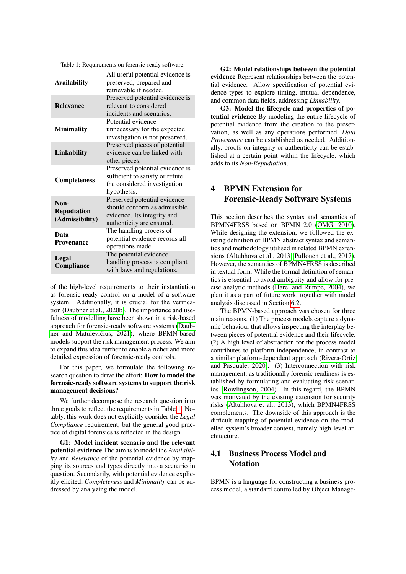<span id="page-2-1"></span>Table 1: Requirements on forensic-ready software.

| <b>Availability</b>                   | All useful potential evidence is<br>preserved, prepared and |
|---------------------------------------|-------------------------------------------------------------|
|                                       | retrievable if needed.                                      |
| <b>Relevance</b>                      | Preserved potential evidence is                             |
|                                       | relevant to considered                                      |
|                                       | incidents and scenarios.                                    |
| <b>Minimality</b>                     | Potential evidence                                          |
|                                       | unnecessary for the expected                                |
|                                       | investigation is not preserved.                             |
| Linkability                           | Preserved pieces of potential                               |
|                                       | evidence can be linked with                                 |
|                                       | other pieces.                                               |
| <b>Completeness</b>                   | Preserved potential evidence is                             |
|                                       | sufficient to satisfy or refute                             |
|                                       | the considered investigation                                |
|                                       | hypothesis.                                                 |
| Non-                                  | Preserved potential evidence                                |
| <b>Repudiation</b><br>(Admissibility) | should conform as admissible                                |
|                                       | evidence. Its integrity and                                 |
|                                       | authenticity are ensured.                                   |
| Data<br><b>Provenance</b>             | The handling process of                                     |
|                                       | potential evidence records all                              |
|                                       | operations made.                                            |
| Legal                                 | The potential evidence                                      |
| Compliance                            | handling process is compliant                               |
|                                       | with laws and regulations.                                  |

of the high-level requirements to their instantiation as forensic-ready control on a model of a software system. Additionally, it is crucial for the verification [\(Daubner et al., 2020b\)](#page-10-4). The importance and usefulness of modelling have been shown in a risk-based approach for forensic-ready software systems [\(Daub](#page-10-7)ner and Matulevičius, 2021), where BPMN-based models support the risk management process. We aim to expand this idea further to enable a richer and more detailed expression of forensic-ready controls.

For this paper, we formulate the following research question to drive the effort: How to model the forensic-ready software systems to support the risk management decisions?

We further decompose the research question into three goals to reflect the requirements in Table [1.](#page-2-1) Notably, this work does not explicitly consider the *Legal Compliance* requirement, but the general good practice of digital forensics is reflected in the design.

G1: Model incident scenario and the relevant potential evidence The aim is to model the *Availability* and *Relevance* of the potential evidence by mapping its sources and types directly into a scenario in question. Secondarily, with potential evidence explicitly elicited, *Completeness* and *Minimality* can be addressed by analyzing the model.

G2: Model relationships between the potential evidence Represent relationships between the potential evidence. Allow specification of potential evidence types to explore timing, mutual dependence, and common data fields, addressing *Linkability*.

G3: Model the lifecycle and properties of potential evidence By modeling the entire lifecycle of potential evidence from the creation to the preservation, as well as any operations performed, *Data Provenance* can be established as needed. Additionally, proofs on integrity or authenticity can be established at a certain point within the lifecycle, which adds to its *Non-Repudiation*.

## <span id="page-2-0"></span>4 BPMN Extension for Forensic-Ready Software Systems

This section describes the syntax and semantics of BPMN4FRSS based on BPMN 2.0 [\(OMG, 2010\)](#page-11-21). While designing the extension, we followed the existing definition of BPMN abstract syntax and semantics and methodology utilised in related BPMN extensions [\(Altuhhova et al., 2013;](#page-10-6) [Pullonen et al., 2017\)](#page-11-19). However, the semantics of BPMN4FRSS is described in textual form. While the formal definition of semantics is essential to avoid ambiguity and allow for precise analytic methods [\(Harel and Rumpe, 2004\)](#page-11-22), we plan it as a part of future work, together with model analysis discussed in Section [6.2.](#page-9-0)

The BPMN-based approach was chosen for three main reasons. (1) The process models capture a dynamic behaviour that allows inspecting the interplay between pieces of potential evidence and their lifecycle. (2) A high level of abstraction for the process model contributes to platform independence, in contrast to a similar platform-dependent approach [\(Rivera-Ortiz](#page-11-10) [and Pasquale, 2020\)](#page-11-10). (3) Interconnection with risk management, as traditionally forensic readiness is established by formulating and evaluating risk scenarios [\(Rowlingson, 2004\)](#page-11-3). In this regard, the BPMN was motivated by the existing extension for security risks [\(Altuhhova et al., 2013\)](#page-10-6), which BPMN4FRSS complements. The downside of this approach is the difficult mapping of potential evidence on the modelled system's broader context, namely high-level architecture.

## 4.1 Business Process Model and Notation

BPMN is a language for constructing a business process model, a standard controlled by Object Manage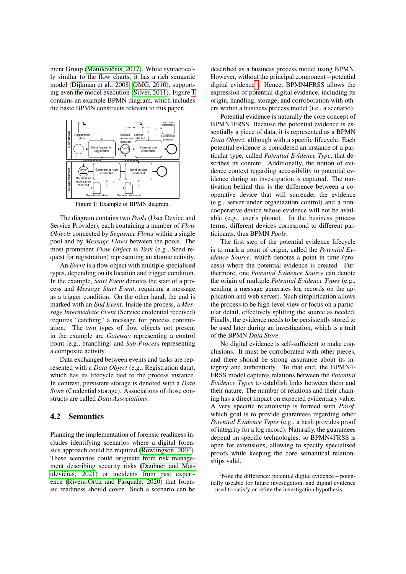ment Group (Matulevičius, 2017). While syntactically similar to the flow charts, it has a rich semantic model [\(Dijkman et al., 2008;](#page-11-23) [OMG, 2010\)](#page-11-21), supporting even the model execution [\(Silver, 2011\)](#page-11-24). Figure [1](#page-3-0) contains an example BPMN diagram, which includes the basic BPMN constructs relevant to this paper.

<span id="page-3-0"></span>

Figure 1: Example of BPMN diagram.

The diagram contains two *Pools* (User Device and Service Provider), each containing a number of *Flow Objects* connected by *Sequence Flows* within a single pool and by *Message Flows* between the pools. The most prominent *Flow Object* is *Task* (e.g., Send request for registration) representing an atomic activity.

An *Event* is a flow object with multiple specialised types, depending on its location and trigger condition. In the example, *Start Event* denotes the start of a process and *Message Start Event*, requiring a message as a trigger condition. On the other hand, the end is marked with an *End Event*. Inside the process, a *Message Intermediate Event* (Service credential received) requires "catching" a message for process continuation. The two types of flow objects not present in the example are *Gateway* representing a control point (e.g., branching) and *Sub-Process* representing a composite activity.

Data exchanged between events and tasks are represented with a *Data Object* (e.g., Registration data), which has its lifecycle tied to the process instance. In contrast, persistent storage is denoted with a *Data Store* (Credential storage). Associations of those constructs are called *Data Associations*.

### 4.2 Semantics

Planning the implementation of forensic readiness includes identifying scenarios where a digital forensics approach could be required [\(Rowlingson, 2004\)](#page-11-3). These scenarios could originate from risk management describing security risks [\(Daubner and Mat](#page-10-7)ulevičius,  $2021$ ) or incidents from past experience [\(Rivera-Ortiz and Pasquale, 2020\)](#page-11-10) that forensic readiness should cover. Such a scenario can be described as a business process model using BPMN. However, without the principal component – potential digital evidence<sup>[1](#page-3-1)</sup>. Hence, BPMN4FRSS allows the expression of potential digital evidence, including its origin, handling, storage, and corroboration with others within a business process model (i.e., a scenario).

Potential evidence is naturally the core concept of BPMN4FRSS. Because the potential evidence is essentially a piece of data, it is represented as a BPMN *Data Object*, although with a specific lifecycle. Each potential evidence is considered an instance of a particular type, called *Potential Evidence Type*, that describes its content. Additionally, the notion of evidence context regarding accessibility to potential evidence during an investigation is captured. The motivation behind this is the difference between a cooperative device that will surrender the evidence (e.g., server under organization control) and a noncooperative device whose evidence will not be available (e.g., user's phone). In the business process terms, different devices correspond to different participants, thus BPMN *Pools*.

The first step of the potential evidence lifecycle is to mark a point of origin, called the *Potential Evidence Source*, which denotes a point in time (process) where the potential evidence is created. Furthermore, one *Potential Evidence Source* can denote the origin of multiple *Potential Evidence Types* (e.g., sending a message generates log records on the application and web server). Such simplification allows the process to be high-level view or focus on a particular detail, effectively splitting the source as needed. Finally, the evidence needs to be persistently stored to be used later during an investigation, which is a trait of the BPMN *Data Store*.

No digital evidence is self-sufficient to make conclusions. It must be corroborated with other pieces, and there should be strong assurance about its integrity and authenticity. To that end, the BPMN4- FRSS model captures relations between the *Potential Evidence Types* to establish links between them and their nature. The number of relations and their chaining has a direct impact on expected evidentiary value. A very specific relationship is formed with *Proof*, which goal is to provide guarantees regarding other *Potential Evidence Types* (e.g., a hash provides proof of integrity for a log record). Naturally, the guarantees depend on specific technologies, so BPMN4FRSS is open for extensions, allowing to specify specialised proofs while keeping the core semantical relationships valid.

<span id="page-3-1"></span><sup>&</sup>lt;sup>1</sup>Note the difference: potential digital evidence – potentially useable for future investigation, and digital evidence – used to satisfy or refute the investigation hypothesis.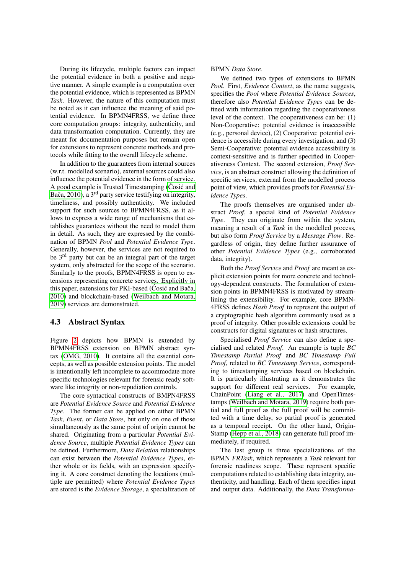During its lifecycle, multiple factors can impact the potential evidence in both a positive and negative manner. A simple example is a computation over the potential evidence, which is represented as BPMN *Task*. However, the nature of this computation must be noted as it can influence the meaning of said potential evidence. In BPMN4FRSS, we define three core computation groups: integrity, authenticity, and data transformation computation. Currently, they are meant for documentation purposes but remain open for extensions to represent concrete methods and protocols while fitting to the overall lifecycle scheme.

In addition to the guarantees from internal sources (w.r.t. modelled scenario), external sources could also influence the potential evidence in the form of service. A good example is Trusted Timestamping  $(\hat{\text{Cosi}}\acute{c})$  and Bača, 2010), a 3<sup>rd</sup> party service testifying on integrity, timeliness, and possibly authenticity. We included support for such sources to BPMN4FRSS, as it allows to express a wide range of mechanisms that establishes guarantees without the need to model them in detail. As such, they are expressed by the combination of BPMN *Pool* and *Potential Evidence Type*. Generally, however, the services are not required to be 3rd party but can be an integral part of the target system, only abstracted for the scope of the scenario. Similarly to the proofs, BPMN4FRSS is open to extensions representing concrete services. Explicitly in this paper, extensions for PKI-based ( $\dot{\text{Cosi}}\acute{c}$  and Bača, [2010\)](#page-11-25) and blockchain-based [\(Weilbach and Motara,](#page-11-26) [2019\)](#page-11-26) services are demonstrated.

#### 4.3 Abstract Syntax

Figure [2](#page-5-0) depicts how BPMN is extended by BPMN4FRSS extension on BPMN abstract syntax [\(OMG, 2010\)](#page-11-21). It contains all the essential concepts, as well as possible extension points. The model is intentionally left incomplete to accommodate more specific technologies relevant for forensic ready software like integrity or non-repudiation controls.

The core syntactical constructs of BMPN4FRSS are *Potential Evidence Source* and *Potential Evidence Type*. The former can be applied on either BPMN *Task*, *Event*, or *Data Store*, but only on one of those simultaneously as the same point of origin cannot be shared. Originating from a particular *Potential Evidence Source*, multiple *Potential Evidence Types* can be defined. Furthermore, *Data Relation* relationships can exist between the *Potential Evidence Types*, either whole or its fields, with an expression specifying it. A core construct denoting the locations (multiple are permitted) where *Potential Evidence Types* are stored is the *Evidence Storage*, a specialization of BPMN *Data Store*.

We defined two types of extensions to BPMN *Pool*. First, *Evidence Context*, as the name suggests, specifies the *Pool* where *Potential Evidence Sources*, therefore also *Potential Evidence Types* can be defined with information regarding the cooperativeness level of the context. The cooperativeness can be: (1) Non-Cooperative: potential evidence is inaccessible (e.g., personal device), (2) Cooperative: potential evidence is accessible during every investigation, and (3) Semi-Cooperative: potential evidence accessibility is context-sensitive and is further specified in Cooperativeness Context. The second extension, *Proof Service*, is an abstract construct allowing the definition of specific services, external from the modelled process point of view, which provides proofs for *Potential Evidence Types*.

The proofs themselves are organised under abstract *Proof*, a special kind of *Potential Evidence Type*. They can originate from within the system, meaning a result of a *Task* in the modelled process, but also form *Proof Service* by a *Message Flow*. Regardless of origin, they define further assurance of other *Potential Evidence Types* (e.g., corroborated data, integrity).

Both the *Proof Service* and *Proof* are meant as explicit extension points for more concrete and technology-dependent constructs. The formulation of extension points in BPMN4FRSS is motivated by streamlining the extensibility. For example, core BPMN-4FRSS defines *Hash Proof* to represent the output of a cryptographic hash algorithm commonly used as a proof of integrity. Other possible extensions could be constructs for digital signatures or hash structures.

Specialised *Proof Service* can also define a specialised and related *Proof*. An example is tuple *BC Timestamp Partial Proof* and *BC Timestamp Full Proof*, related to *BC Timestamp Service*, corresponding to timestamping services based on blockchain. It is particularly illustrating as it demonstrates the support for different real services. For example, ChainPoint [\(Liang et al., 2017\)](#page-11-27) and OpenTimestamps [\(Weilbach and Motara, 2019\)](#page-11-26) require both partial and full proof as the full proof will be committed with a time delay, so partial proof is generated as a temporal receipt. On the other hand, Origin-Stamp [\(Hepp et al., 2018\)](#page-11-28) can generate full proof immediately, if required.

The last group is three specializations of the BPMN *FRTask*, which represents a *Task* relevant for forensic readiness scope. These represent specific computations related to establishing data integrity, authenticity, and handling. Each of them specifies input and output data. Additionally, the *Data Transforma-*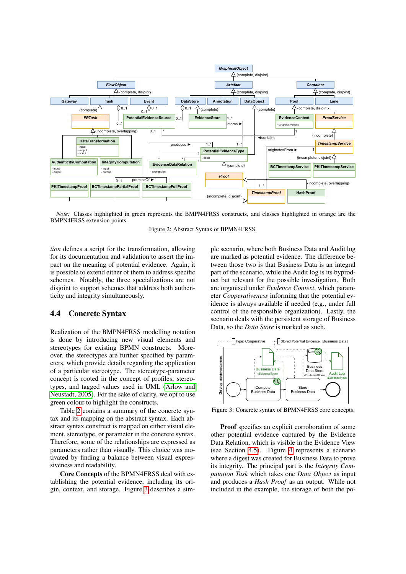<span id="page-5-0"></span>

*Note:* Classes highlighted in green represents the BMPN4FRSS constructs, and classes highlighted in orange are the BMPN4FRSS extension points.

Figure 2: Abstract Syntax of BPMN4FRSS.

*tion* defines a script for the transformation, allowing for its documentation and validation to assert the impact on the meaning of potential evidence. Again, it is possible to extend either of them to address specific schemes. Notably, the three specializations are not disjoint to support schemes that address both authenticity and integrity simultaneously.

#### 4.4 Concrete Syntax

Realization of the BMPN4FRSS modelling notation is done by introducing new visual elements and stereotypes for existing BPMN constructs. Moreover, the stereotypes are further specified by parameters, which provide details regarding the application of a particular stereotype. The stereotype-parameter concept is rooted in the concept of profiles, stereotypes, and tagged values used in UML [\(Arlow and](#page-10-10) [Neustadt, 2005\)](#page-10-10). For the sake of clarity, we opt to use green colour to highlight the constructs.

Table [2](#page-6-0) contains a summary of the concrete syntax and its mapping on the abstract syntax. Each abstract syntax construct is mapped on either visual element, stereotype, or parameter in the concrete syntax. Therefore, some of the relationships are expressed as parameters rather than visually. This choice was motivated by finding a balance between visual expressiveness and readability.

Core Concepts of the BPMN4FRSS deal with establishing the potential evidence, including its origin, context, and storage. Figure [3](#page-5-1) describes a simple scenario, where both Business Data and Audit log are marked as potential evidence. The difference between those two is that Business Data is an integral part of the scenario, while the Audit log is its byproduct but relevant for the possible investigation. Both are organised under *Evidence Context*, which parameter *Cooperativeness* informing that the potential evidence is always available if needed (e.g., under full control of the responsible organization). Lastly, the scenario deals with the persistent storage of Business Data, so the *Data Store* is marked as such.

<span id="page-5-1"></span>

Figure 3: Concrete syntax of BPMN4FRSS core concepts.

Proof specifies an explicit corroboration of some other potential evidence captured by the Evidence Data Relation, which is visible in the Evidence View (see Section [4.5\)](#page-6-1). Figure [4](#page-6-2) represents a scenario where a digest was created for Business Data to prove its integrity. The principal part is the *Integrity Computation Task* which takes one *Data Object* as input and produces a *Hash Proof* as an output. While not included in the example, the storage of both the po-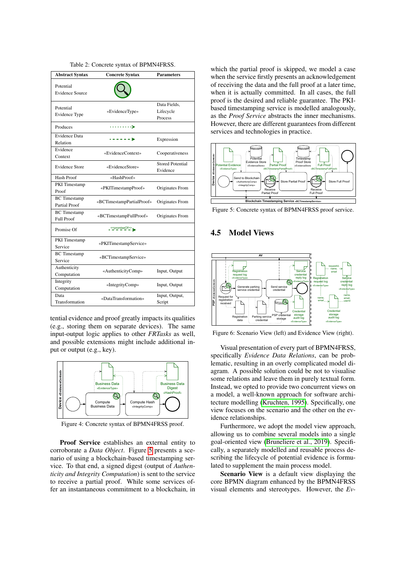<span id="page-6-0"></span>

| <b>Abstract Syntax</b>               | <b>Concrete Syntax</b>        | <b>Parameters</b>                    |
|--------------------------------------|-------------------------------|--------------------------------------|
| Potential<br><b>Evidence Source</b>  |                               |                                      |
| Potential<br>Evidence Type           | «EvidenceType»                | Data Fields.<br>Lifecycle<br>Process |
| Produces                             | لويتينين                      |                                      |
| <b>Evidence Data</b><br>Relation     | . »                           | Expression                           |
| Evidence<br>Context                  | «EvidenceContext»             | Cooperativeness                      |
| <b>Evidence Store</b>                | «EvidenceStore»               | <b>Stored Potential</b><br>Evidence  |
| <b>Hash Proof</b>                    | «HashProof»                   |                                      |
| <b>PKI</b> Timestamp<br>Proof        | «PKITimestampProof»           | Originates From                      |
| <b>BC</b> Timestamp<br>Partial Proof | «BCTimestampPartialProof»     | Originates From                      |
| <b>BC</b> Timestamp<br>Full Proof    | «BCTimestampFullProof»        | Originates From                      |
| Promise Of                           | < <promiseof>&gt;</promiseof> |                                      |
| <b>PKI</b> Timestamp<br>Service      | «PKITimestampService»         |                                      |
| <b>BC</b> Timestamp<br>Service       | «BCTimestampService»          |                                      |
| Authenticity<br>Computation          | «AuthenticityComp»            | Input, Output                        |
| Integrity<br>Computation             | «IntegrityComp»               | Input, Output                        |
| Data<br>Transformation               | «DataTransformation»          | Input, Output,<br>Script             |

| Table 2: Concrete syntax of BPMN4FRSS. |  |
|----------------------------------------|--|
|----------------------------------------|--|

tential evidence and proof greatly impacts its qualities (e.g., storing them on separate devices). The same input-output logic applies to other *FRTasks* as well, and possible extensions might include additional input or output (e.g., key).

<span id="page-6-2"></span>

Figure 4: Concrete syntax of BPMN4FRSS proof.

Proof Service establishes an external entity to corroborate a *Data Object*. Figure [5](#page-6-3) presents a scenario of using a blockchain-based timestamping service. To that end, a signed digest (output of *Authenticity and Integrity Computation*) is sent to the service to receive a partial proof. While some services offer an instantaneous commitment to a blockchain, in

which the partial proof is skipped, we model a case when the service firstly presents an acknowledgement of receiving the data and the full proof at a later time, when it is actually committed. In all cases, the full proof is the desired and reliable guarantee. The PKIbased timestamping service is modelled analogously, as the *Proof Service* abstracts the inner mechanisms. However, there are different guarantees from different services and technologies in practice.

<span id="page-6-3"></span>

Figure 5: Concrete syntax of BPMN4FRSS proof service.

#### <span id="page-6-1"></span>4.5 Model Views

<span id="page-6-4"></span>

Figure 6: Scenario View (left) and Evidence View (right).

Visual presentation of every part of BPMN4FRSS, specifically *Evidence Data Relations*, can be problematic, resulting in an overly complicated model diagram. A possible solution could be not to visualise some relations and leave them in purely textual form. Instead, we opted to provide two concurrent views on a model, a well-known approach for software architecture modelling [\(Kruchten, 1995\)](#page-11-29). Specifically, one view focuses on the scenario and the other on the evidence relationships.

Furthermore, we adopt the model view approach, allowing us to combine several models into a single goal-oriented view [\(Bruneliere et al., 2019\)](#page-10-11). Specifically, a separately modelled and reusable process describing the lifecycle of potential evidence is formulated to supplement the main process model.

Scenario View is a default view displaying the core BPMN diagram enhanced by the BPMN4FRSS visual elements and stereotypes. However, the *Ev-*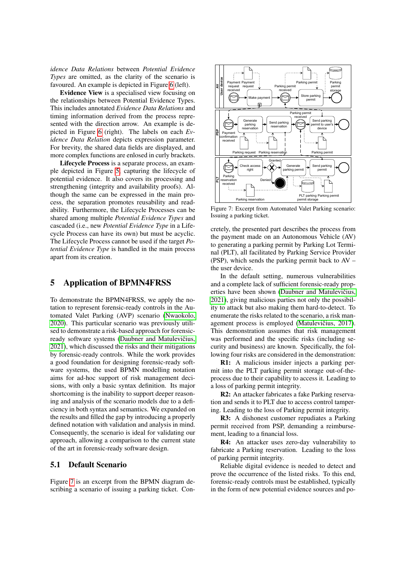*idence Data Relations* between *Potential Evidence Types* are omitted, as the clarity of the scenario is favoured. An example is depicted in Figure [6](#page-6-4) (left).

Evidence View is a specialised view focusing on the relationships between Potential Evidence Types. This includes annotated *Evidence Data Relations* and timing information derived from the process represented with the direction arrow. An example is depicted in Figure [6](#page-6-4) (right). The labels on each *Evidence Data Relation* depicts expression parameter. For brevity, the shared data fields are displayed, and more complex functions are enlosed in curly brackets.

Lifecycle Process is a separate process, an example depicted in Figure [5,](#page-6-3) capturing the lifecycle of potential evidence. It also covers its processing and strengthening (integrity and availability proofs). Although the same can be expressed in the main process, the separation promotes reusability and readability. Furthermore, the Lifecycle Processes can be shared among multiple *Potential Evidence Types* and cascaded (i.e., new *Potential Evidence Type* in a Lifecycle Process can have its own) but must be acyclic. The Lifecycle Process cannot be used if the target *Potential Evidence Type* is handled in the main process apart from its creation.

### <span id="page-7-0"></span>5 Application of BPMN4FRSS

To demonstrate the BPMN4FRSS, we apply the notation to represent forensic-ready controls in the Automated Valet Parking (AVP) scenario [\(Nwaokolo,](#page-11-30) [2020\)](#page-11-30). This particular scenario was previously utilised to demonstrate a risk-based approach for forensicready software systems (Daubner and Matulevičius, [2021\)](#page-10-7), which discussed the risks and their mitigations by forensic-ready controls. While the work provides a good foundation for designing forensic-ready software systems, the used BPMN modelling notation aims for ad-hoc support of risk management decisions, with only a basic syntax definition. Its major shortcoming is the inability to support deeper reasoning and analysis of the scenario models due to a deficiency in both syntax and semantics. We expanded on the results and filled the gap by introducing a properly defined notation with validation and analysis in mind. Consequently, the scenario is ideal for validating our approach, allowing a comparison to the current state of the art in forensic-ready software design.

#### 5.1 Default Scenario

Figure [7](#page-7-1) is an excerpt from the BPMN diagram describing a scenario of issuing a parking ticket. Con-

<span id="page-7-1"></span>

Figure 7: Excerpt from Automated Valet Parking scenario: Issuing a parking ticket.

cretely, the presented part describes the process from the payment made on an Autonomous Vehicle (AV) to generating a parking permit by Parking Lot Terminal (PLT), all facilitated by Parking Service Provider (PSP), which sends the parking permit back to AV – the user device.

In the default setting, numerous vulnerabilities and a complete lack of sufficient forensic-ready properties have been shown (Daubner and Matulevičius, [2021\)](#page-10-7), giving malicious parties not only the possibility to attack but also making them hard-to-detect. To enumerate the risks related to the scenario, a risk management process is employed (Matulevičius, 2017). This demonstration assumes that risk management was performed and the specific risks (including security and business) are known. Specifically, the following four risks are considered in the demonstration:

R1: A malicious insider injects a parking permit into the PLT parking permit storage out-of-theprocess due to their capability to access it. Leading to a loss of parking permit integrity.

R2: An attacker fabricates a fake Parking reservation and sends it to PLT due to access control tampering. Leading to the loss of Parking permit integrity.

R3: A dishonest customer repudiates a Parking permit received from PSP, demanding a reimbursement, leading to a financial loss.

R4: An attacker uses zero-day vulnerability to fabricate a Parking reservation. Leading to the loss of parking permit integrity.

Reliable digital evidence is needed to detect and prove the occurrence of the listed risks. To this end, forensic-ready controls must be established, typically in the form of new potential evidence sources and po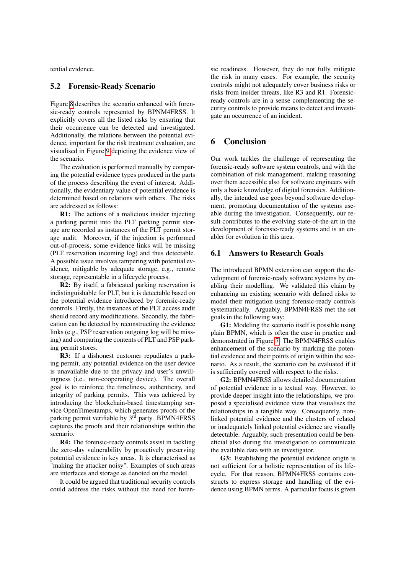tential evidence.

### 5.2 Forensic-Ready Scenario

Figure [8](#page-9-1) describes the scenario enhanced with forensic-ready controls represented by BPNM4FRSS. It explicitly covers all the listed risks by ensuring that their occurrence can be detected and investigated. Additionally, the relations between the potential evidence, important for the risk treatment evaluation, are visualised in Figure [9](#page-9-2) depicting the evidence view of the scenario.

The evaluation is performed manually by comparing the potential evidence types produced in the parts of the process describing the event of interest. Additionally, the evidentiary value of potential evidence is determined based on relations with others. The risks are addressed as follows:

R1: The actions of a malicious insider injecting a parking permit into the PLT parking permit storage are recorded as instances of the PLT permit storage audit. Moreover, if the injection is performed out-of-process, some evidence links will be missing (PLT reservation incoming log) and thus detectable. A possible issue involves tampering with potential evidence, mitigable by adequate storage, e.g., remote storage, representable in a lifecycle process.

R2: By itself, a fabricated parking reservation is indistinguishable for PLT, but it is detectable based on the potential evidence introduced by forensic-ready controls. Firstly, the instances of the PLT access audit should record any modifications. Secondly, the fabrication can be detected by reconstructing the evidence links (e.g., PSP reservation outgoing log will be missing) and comparing the contents of PLT and PSP parking permit stores.

R3: If a dishonest customer repudiates a parking permit, any potential evidence on the user device is unavailable due to the privacy and user's unwillingness (i.e., non-cooperating device). The overall goal is to reinforce the timeliness, authenticity, and integrity of parking permits. This was achieved by introducing the blockchain-based timestamping service OpenTimestamps, which generates proofs of the parking permit verifiable by 3<sup>rd</sup> party. BPMN4FRSS captures the proofs and their relationships within the scenario.

R4: The forensic-ready controls assist in tackling the zero-day vulnerability by proactively preserving potential evidence in key areas. It is characterised as "making the attacker noisy". Examples of such areas are interfaces and storage as denoted on the model.

It could be argued that traditional security controls could address the risks without the need for foren-

sic readiness. However, they do not fully mitigate the risk in many cases. For example, the security controls might not adequately cover business risks or risks from insider threats, like R3 and R1. Forensicready controls are in a sense complementing the security controls to provide means to detect and investigate an occurrence of an incident.

## <span id="page-8-0"></span>6 Conclusion

Our work tackles the challenge of representing the forensic-ready software system controls, and with the combination of risk management, making reasoning over them accessible also for software engineers with only a basic knowledge of digital forensics. Additionally, the intended use goes beyond software development, promoting documentation of the systems useable during the investigation. Consequently, our result contributes to the evolving state-of-the-art in the development of forensic-ready systems and is an enabler for evolution in this area.

### 6.1 Answers to Research Goals

The introduced BPMN extension can support the development of forensic-ready software systems by enabling their modelling. We validated this claim by enhancing an existing scenario with defined risks to model their mitigation using forensic-ready controls systematically. Arguably, BPMN4FRSS met the set goals in the following way:

G1: Modeling the scenario itself is possible using plain BPMN, which is often the case in practice and demonstrated in Figure [7.](#page-7-1) The BPMN4FRSS enables enhancement of the scenario by marking the potential evidence and their points of origin within the scenario. As a result, the scenario can be evaluated if it is sufficiently covered with respect to the risks.

G2: BPMN4FRSS allows detailed documentation of potential evidence in a textual way. However, to provide deeper insight into the relationships, we proposed a specialised evidence view that visualises the relationships in a tangible way. Consequently, nonlinked potential evidence and the clusters of related or inadequately linked potential evidence are visually detectable. Arguably, such presentation could be beneficial also during the investigation to communicate the available data with an investigator.

G3: Establishing the potential evidence origin is not sufficient for a holistic representation of its lifecycle. For that reason, BPMN4FRSS contains constructs to express storage and handling of the evidence using BPMN terms. A particular focus is given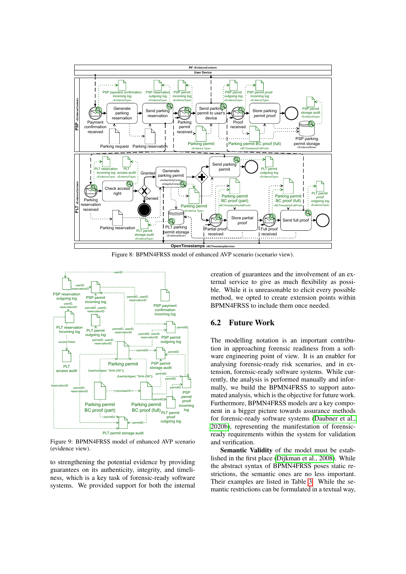<span id="page-9-1"></span>

Figure 8: BPMN4FRSS model of enhanced AVP scenario (scenario view).

<span id="page-9-2"></span>

Figure 9: BPMN4FRSS model of enhanced AVP scenario (evidence view).

to strengthening the potential evidence by providing guarantees on its authenticity, integrity, and timeliness, which is a key task of forensic-ready software systems. We provided support for both the internal creation of guarantees and the involvement of an external service to give as much flexibility as possible. While it is unreasonable to elicit every possible method, we opted to create extension points within BPMN4FRSS to include them once needed.

### <span id="page-9-0"></span>6.2 Future Work

The modelling notation is an important contribution in approaching forensic readiness from a software engineering point of view. It is an enabler for analysing forensic-ready risk scenarios, and in extension, forensic-ready software systems. While currently, the analysis is performed manually and informally, we build the BPMN4FRSS to support automated analysis, which is the objective for future work. Furthermore, BPMN4FRSS models are a key component in a bigger picture towards assurance methods for forensic-ready software systems [\(Daubner et al.,](#page-10-4) [2020b\)](#page-10-4), representing the manifestation of forensicready requirements within the system for validation and verification.

Semantic Validity of the model must be established in the first place [\(Dijkman et al., 2008\)](#page-11-23). While the abstract syntax of BPMN4FRSS poses static restrictions, the semantic ones are no less important. Their examples are listed in Table [3.](#page-10-12) While the semantic restrictions can be formulated in a textual way,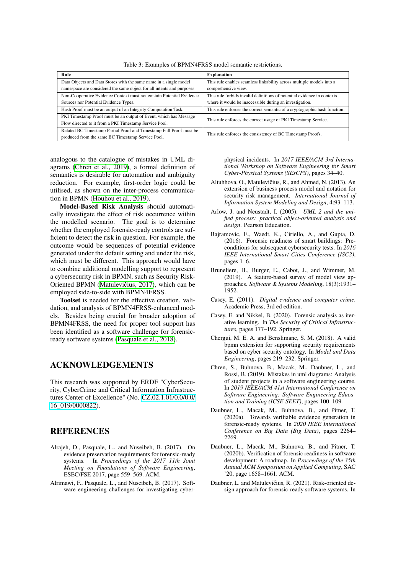<span id="page-10-12"></span>

| Rule                                                                                                                        | <b>Explanation</b>                                                        |  |
|-----------------------------------------------------------------------------------------------------------------------------|---------------------------------------------------------------------------|--|
| Data Objects and Data Stores with the same name in a single model                                                           | This rule enables seamless linkability across multiple models into a      |  |
| namespace are considered the same object for all intents and purposes.                                                      | comprehensive view.                                                       |  |
| Non-Cooperative Evidence Context must not contain Potential Evidence                                                        | This rule forbids invalid definitions of potential evidence in contexts   |  |
| Sources nor Potential Evidence Types.                                                                                       | where it would be inaccessible during an investigation.                   |  |
| Hash Proof must be an output of an Integrity Computation Task.                                                              | This rule enforces the correct semantic of a cryptographic hash function. |  |
| PKI Timestamp Proof must be an output of Event, which has Message<br>Flow directed to it from a PKI Timestamp Service Pool. | This rule enforces the correct usage of PKI Timestamp Service.            |  |
| Related BC Timestamp Partial Proof and Timestamp Full Proof must be<br>produced from the same BC Timestamp Service Pool.    | This rule enforces the consistency of BC Timestamp Proofs.                |  |

Table 3: Examples of BPMN4FRSS model semantic restrictions.

analogous to the catalogue of mistakes in UML diagrams [\(Chren et al., 2019\)](#page-10-13), a formal definition of semantics is desirable for automation and ambiguity reduction. For example, first-order logic could be utilised, as shown on the inter-process communication in BPMN [\(Houhou et al., 2019\)](#page-11-31).

Model-Based Risk Analysis should automatically investigate the effect of risk occurrence within the modelled scenario. The goal is to determine whether the employed forensic-ready controls are sufficient to detect the risk in question. For example, the outcome would be sequences of potential evidence generated under the default setting and under the risk, which must be different. This approach would have to combine additional modelling support to represent a cybersecurity risk in BPMN, such as Security Risk-Oriented BPMN (Matulevičius, 2017), which can be employed side-to-side with BPMN4FRSS.

Toolset is needed for the effective creation, validation, and analysis of BPMN4FRSS-enhanced models. Besides being crucial for broader adoption of BPMN4FRSS, the need for proper tool support has been identified as a software challenge for forensicready software systems [\(Pasquale et al., 2018\)](#page-11-5).

### ACKNOWLEDGEMENTS

This research was supported by ERDF "CyberSecurity, CyberCrime and Critical Information Infrastructures Center of Excellence" (No. [CZ.02.1.01/0.0/0.0/](CZ.02.1.01/0.0/0.0/16_019/0000822) [16\\_019/0000822\)](CZ.02.1.01/0.0/0.0/16_019/0000822).

## **REFERENCES**

- <span id="page-10-3"></span>Alrajeh, D., Pasquale, L., and Nuseibeh, B. (2017). On evidence preservation requirements for forensic-ready systems. In *Proceedings of the 2017 11th Joint Meeting on Foundations of Software Engineering*, ESEC/FSE 2017, page 559–569. ACM.
- <span id="page-10-8"></span>Alrimawi, F., Pasquale, L., and Nuseibeh, B. (2017). Software engineering challenges for investigating cyber-

physical incidents. In *2017 IEEE/ACM 3rd International Workshop on Software Engineering for Smart Cyber-Physical Systems (SEsCPS)*, pages 34–40.

- <span id="page-10-6"></span>Altuhhova, O., Matulevičius, R., and Ahmed, N. (2013). An extension of business process model and notation for security risk management. *International Journal of Information System Modeling and Design*, 4:93–113.
- <span id="page-10-10"></span>Arlow, J. and Neustadt, I. (2005). *UML 2 and the unified process: practical object-oriented analysis and design*. Pearson Education.
- <span id="page-10-5"></span>Bajramovic, E., Waedt, K., Ciriello, A., and Gupta, D. (2016). Forensic readiness of smart buildings: Preconditions for subsequent cybersecurity tests. In *2016 IEEE International Smart Cities Conference (ISC2)*, pages 1–6.
- <span id="page-10-11"></span>Bruneliere, H., Burger, E., Cabot, J., and Wimmer, M. (2019). A feature-based survey of model view approaches. *Software & Systems Modeling*, 18(3):1931– 1952.
- <span id="page-10-1"></span>Casey, E. (2011). *Digital evidence and computer crime*. Academic Press, 3rd ed edition.
- <span id="page-10-0"></span>Casey, E. and Nikkel, B. (2020). Forensic analysis as iterative learning. In *The Security of Critical Infrastructures*, pages 177–192. Springer.
- <span id="page-10-9"></span>Chergui, M. E. A. and Benslimane, S. M. (2018). A valid bpmn extension for supporting security requirements based on cyber security ontology. In *Model and Data Engineering*, pages 219–232. Springer.
- <span id="page-10-13"></span>Chren, S., Buhnova, B., Macak, M., Daubner, L., and Rossi, B. (2019). Mistakes in uml diagrams: Analysis of student projects in a software engineering course. In *2019 IEEE/ACM 41st International Conference on Software Engineering: Software Engineering Education and Training (ICSE-SEET)*, pages 100–109.
- <span id="page-10-2"></span>Daubner, L., Macak, M., Buhnova, B., and Pitner, T. (2020a). Towards verifiable evidence generation in forensic-ready systems. In *2020 IEEE International Conference on Big Data (Big Data)*, pages 2264– 2269.
- <span id="page-10-4"></span>Daubner, L., Macak, M., Buhnova, B., and Pitner, T. (2020b). Verification of forensic readiness in software development: A roadmap. In *Proceedings of the 35th Annual ACM Symposium on Applied Computing*, SAC '20, page 1658–1661. ACM.
- <span id="page-10-7"></span>Daubner, L. and Matulevičius, R. (2021). Risk-oriented design approach for forensic-ready software systems. In